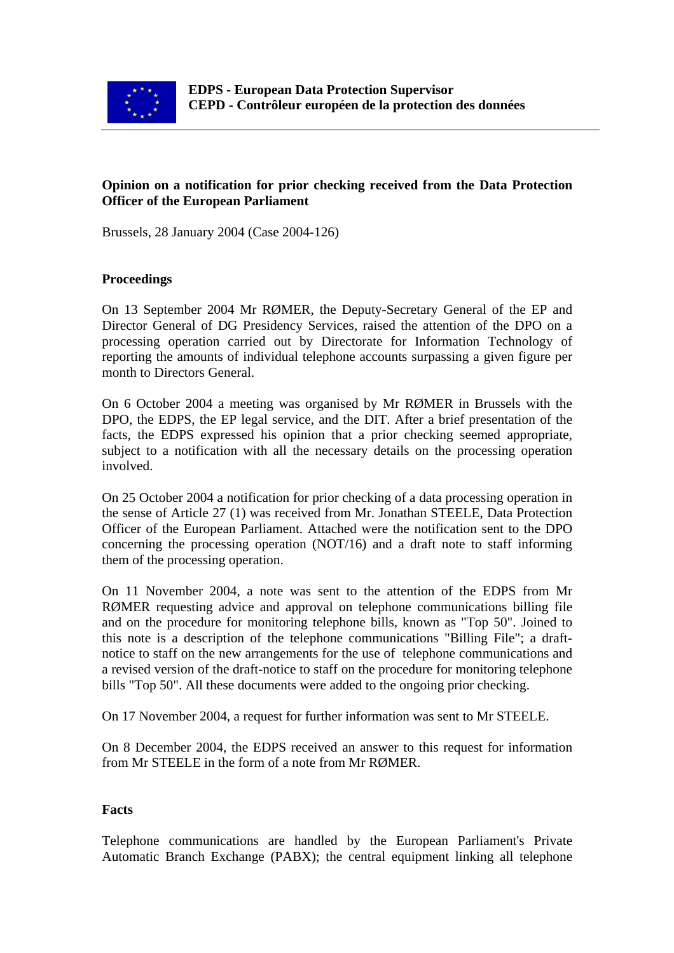

# **Opinion on a notification for prior checking received from the Data Protection Officer of the European Parliament**

Brussels, 28 January 2004 (Case 2004-126)

### **Proceedings**

On 13 September 2004 Mr RØMER, the Deputy-Secretary General of the EP and Director General of DG Presidency Services, raised the attention of the DPO on a processing operation carried out by Directorate for Information Technology of reporting the amounts of individual telephone accounts surpassing a given figure per month to Directors General.

On 6 October 2004 a meeting was organised by Mr RØMER in Brussels with the DPO, the EDPS, the EP legal service, and the DIT. After a brief presentation of the facts, the EDPS expressed his opinion that a prior checking seemed appropriate, subject to a notification with all the necessary details on the processing operation involved.

On 25 October 2004 a notification for prior checking of a data processing operation in the sense of Article 27 (1) was received from Mr. Jonathan STEELE, Data Protection Officer of the European Parliament. Attached were the notification sent to the DPO concerning the processing operation (NOT/16) and a draft note to staff informing them of the processing operation.

On 11 November 2004, a note was sent to the attention of the EDPS from Mr RØMER requesting advice and approval on telephone communications billing file and on the procedure for monitoring telephone bills, known as "Top 50". Joined to this note is a description of the telephone communications "Billing File"; a draftnotice to staff on the new arrangements for the use of telephone communications and a revised version of the draft-notice to staff on the procedure for monitoring telephone bills "Top 50". All these documents were added to the ongoing prior checking.

On 17 November 2004, a request for further information was sent to Mr STEELE.

On 8 December 2004, the EDPS received an answer to this request for information from Mr STEELE in the form of a note from Mr RØMER.

#### **Facts**

Telephone communications are handled by the European Parliament's Private Automatic Branch Exchange (PABX); the central equipment linking all telephone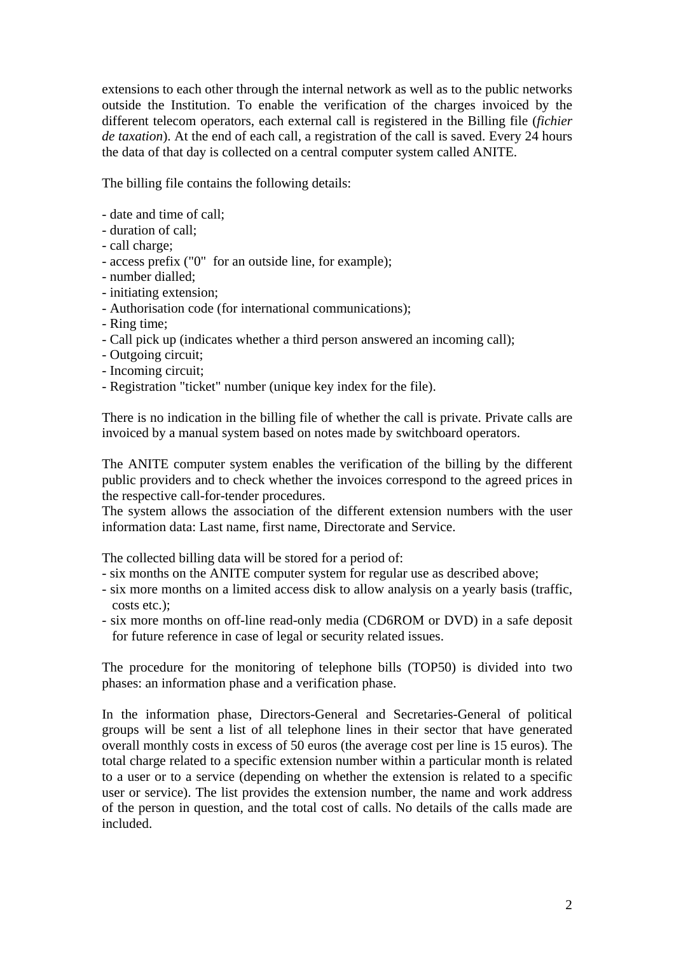extensions to each other through the internal network as well as to the public networks outside the Institution. To enable the verification of the charges invoiced by the different telecom operators, each external call is registered in the Billing file (*fichier de taxation*). At the end of each call, a registration of the call is saved. Every 24 hours the data of that day is collected on a central computer system called ANITE.

The billing file contains the following details:

- date and time of call;
- duration of call;
- call charge;
- access prefix ("0" for an outside line, for example);
- number dialled;
- initiating extension;
- Authorisation code (for international communications);
- Ring time;
- Call pick up (indicates whether a third person answered an incoming call);
- Outgoing circuit;
- Incoming circuit;
- Registration "ticket" number (unique key index for the file).

There is no indication in the billing file of whether the call is private. Private calls are invoiced by a manual system based on notes made by switchboard operators.

The ANITE computer system enables the verification of the billing by the different public providers and to check whether the invoices correspond to the agreed prices in the respective call-for-tender procedures.

The system allows the association of the different extension numbers with the user information data: Last name, first name, Directorate and Service.

The collected billing data will be stored for a period of:

- six months on the ANITE computer system for regular use as described above;
- six more months on a limited access disk to allow analysis on a yearly basis (traffic, costs etc.);
- six more months on off-line read-only media (CD6ROM or DVD) in a safe deposit for future reference in case of legal or security related issues.

The procedure for the monitoring of telephone bills (TOP50) is divided into two phases: an information phase and a verification phase.

In the information phase, Directors-General and Secretaries-General of political groups will be sent a list of all telephone lines in their sector that have generated overall monthly costs in excess of 50 euros (the average cost per line is 15 euros). The total charge related to a specific extension number within a particular month is related to a user or to a service (depending on whether the extension is related to a specific user or service). The list provides the extension number, the name and work address of the person in question, and the total cost of calls. No details of the calls made are included.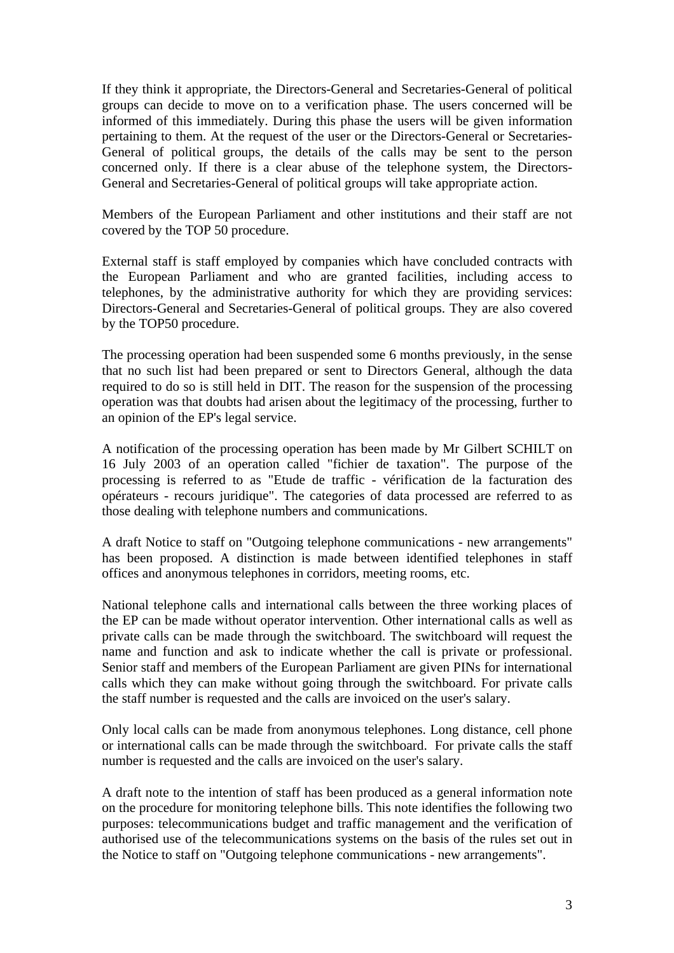If they think it appropriate, the Directors-General and Secretaries-General of political groups can decide to move on to a verification phase. The users concerned will be informed of this immediately. During this phase the users will be given information pertaining to them. At the request of the user or the Directors-General or Secretaries-General of political groups, the details of the calls may be sent to the person concerned only. If there is a clear abuse of the telephone system, the Directors-General and Secretaries-General of political groups will take appropriate action.

Members of the European Parliament and other institutions and their staff are not covered by the TOP 50 procedure.

External staff is staff employed by companies which have concluded contracts with the European Parliament and who are granted facilities, including access to telephones, by the administrative authority for which they are providing services: Directors-General and Secretaries-General of political groups. They are also covered by the TOP50 procedure.

The processing operation had been suspended some 6 months previously, in the sense that no such list had been prepared or sent to Directors General, although the data required to do so is still held in DIT. The reason for the suspension of the processing operation was that doubts had arisen about the legitimacy of the processing, further to an opinion of the EP's legal service.

A notification of the processing operation has been made by Mr Gilbert SCHILT on 16 July 2003 of an operation called "fichier de taxation". The purpose of the processing is referred to as "Etude de traffic - vérification de la facturation des opérateurs - recours juridique". The categories of data processed are referred to as those dealing with telephone numbers and communications.

A draft Notice to staff on "Outgoing telephone communications - new arrangements" has been proposed. A distinction is made between identified telephones in staff offices and anonymous telephones in corridors, meeting rooms, etc.

National telephone calls and international calls between the three working places of the EP can be made without operator intervention. Other international calls as well as private calls can be made through the switchboard. The switchboard will request the name and function and ask to indicate whether the call is private or professional. Senior staff and members of the European Parliament are given PINs for international calls which they can make without going through the switchboard. For private calls the staff number is requested and the calls are invoiced on the user's salary.

Only local calls can be made from anonymous telephones. Long distance, cell phone or international calls can be made through the switchboard. For private calls the staff number is requested and the calls are invoiced on the user's salary.

A draft note to the intention of staff has been produced as a general information note on the procedure for monitoring telephone bills. This note identifies the following two purposes: telecommunications budget and traffic management and the verification of authorised use of the telecommunications systems on the basis of the rules set out in the Notice to staff on "Outgoing telephone communications - new arrangements".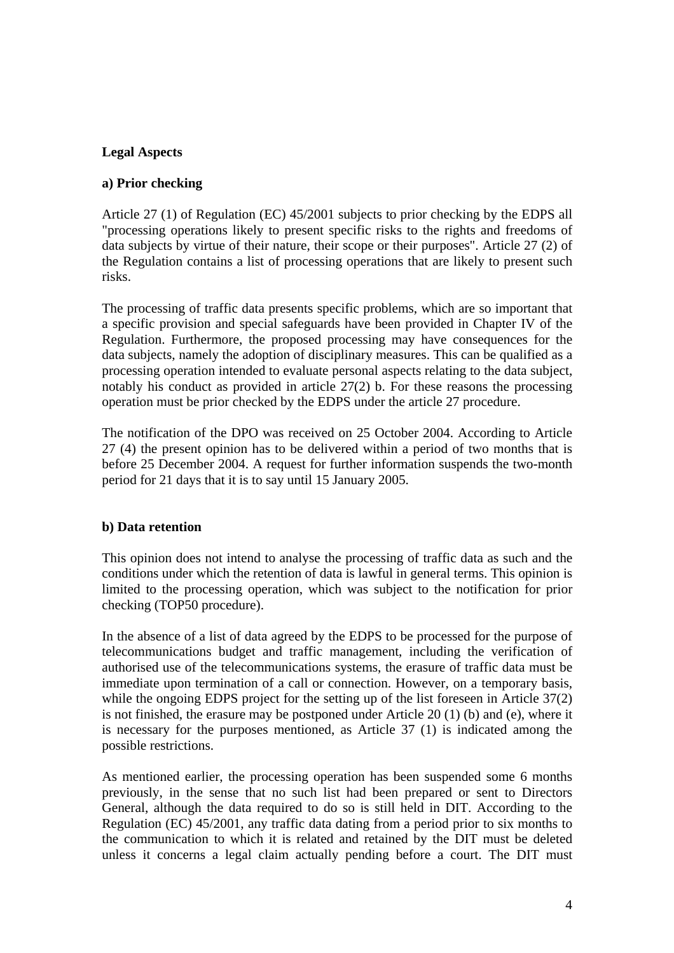# **Legal Aspects**

# **a) Prior checking**

Article 27 (1) of Regulation (EC) 45/2001 subjects to prior checking by the EDPS all "processing operations likely to present specific risks to the rights and freedoms of data subjects by virtue of their nature, their scope or their purposes". Article 27 (2) of the Regulation contains a list of processing operations that are likely to present such risks.

The processing of traffic data presents specific problems, which are so important that a specific provision and special safeguards have been provided in Chapter IV of the Regulation. Furthermore, the proposed processing may have consequences for the data subjects, namely the adoption of disciplinary measures. This can be qualified as a processing operation intended to evaluate personal aspects relating to the data subject, notably his conduct as provided in article 27(2) b. For these reasons the processing operation must be prior checked by the EDPS under the article 27 procedure.

The notification of the DPO was received on 25 October 2004. According to Article 27 (4) the present opinion has to be delivered within a period of two months that is before 25 December 2004. A request for further information suspends the two-month period for 21 days that it is to say until 15 January 2005.

#### **b) Data retention**

This opinion does not intend to analyse the processing of traffic data as such and the conditions under which the retention of data is lawful in general terms. This opinion is limited to the processing operation, which was subject to the notification for prior checking (TOP50 procedure).

In the absence of a list of data agreed by the EDPS to be processed for the purpose of telecommunications budget and traffic management, including the verification of authorised use of the telecommunications systems, the erasure of traffic data must be immediate upon termination of a call or connection. However, on a temporary basis, while the ongoing EDPS project for the setting up of the list foreseen in Article 37(2) is not finished, the erasure may be postponed under Article 20 (1) (b) and (e), where it is necessary for the purposes mentioned, as Article 37 (1) is indicated among the possible restrictions.

As mentioned earlier, the processing operation has been suspended some 6 months previously, in the sense that no such list had been prepared or sent to Directors General, although the data required to do so is still held in DIT. According to the Regulation (EC) 45/2001, any traffic data dating from a period prior to six months to the communication to which it is related and retained by the DIT must be deleted unless it concerns a legal claim actually pending before a court. The DIT must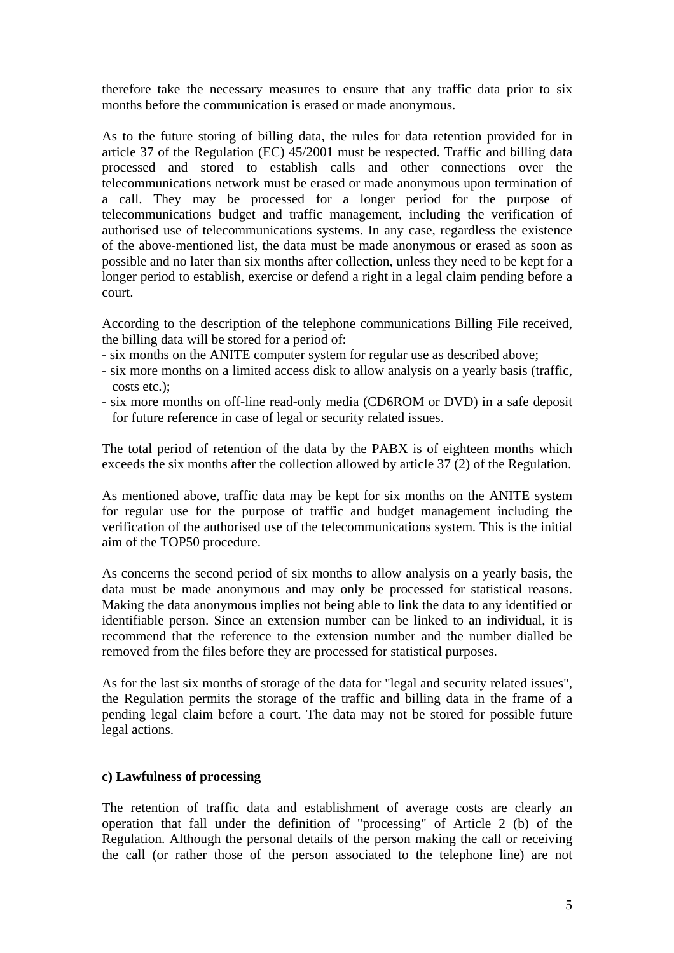therefore take the necessary measures to ensure that any traffic data prior to six months before the communication is erased or made anonymous.

As to the future storing of billing data, the rules for data retention provided for in article 37 of the Regulation (EC) 45/2001 must be respected. Traffic and billing data processed and stored to establish calls and other connections over the telecommunications network must be erased or made anonymous upon termination of a call. They may be processed for a longer period for the purpose of telecommunications budget and traffic management, including the verification of authorised use of telecommunications systems. In any case, regardless the existence of the above-mentioned list, the data must be made anonymous or erased as soon as possible and no later than six months after collection, unless they need to be kept for a longer period to establish, exercise or defend a right in a legal claim pending before a court.

According to the description of the telephone communications Billing File received, the billing data will be stored for a period of:

- six months on the ANITE computer system for regular use as described above;
- six more months on a limited access disk to allow analysis on a yearly basis (traffic, costs etc.);
- six more months on off-line read-only media (CD6ROM or DVD) in a safe deposit for future reference in case of legal or security related issues.

The total period of retention of the data by the PABX is of eighteen months which exceeds the six months after the collection allowed by article 37 (2) of the Regulation.

As mentioned above, traffic data may be kept for six months on the ANITE system for regular use for the purpose of traffic and budget management including the verification of the authorised use of the telecommunications system. This is the initial aim of the TOP50 procedure.

As concerns the second period of six months to allow analysis on a yearly basis, the data must be made anonymous and may only be processed for statistical reasons. Making the data anonymous implies not being able to link the data to any identified or identifiable person. Since an extension number can be linked to an individual, it is recommend that the reference to the extension number and the number dialled be removed from the files before they are processed for statistical purposes.

As for the last six months of storage of the data for "legal and security related issues", the Regulation permits the storage of the traffic and billing data in the frame of a pending legal claim before a court. The data may not be stored for possible future legal actions.

#### **c) Lawfulness of processing**

The retention of traffic data and establishment of average costs are clearly an operation that fall under the definition of "processing" of Article 2 (b) of the Regulation. Although the personal details of the person making the call or receiving the call (or rather those of the person associated to the telephone line) are not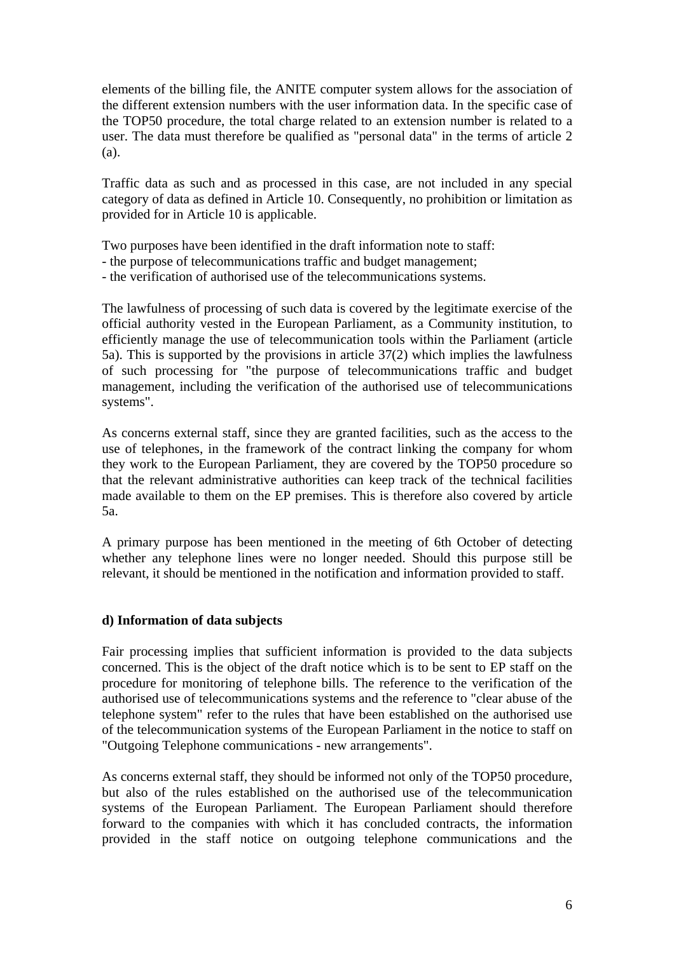elements of the billing file, the ANITE computer system allows for the association of the different extension numbers with the user information data. In the specific case of the TOP50 procedure, the total charge related to an extension number is related to a user. The data must therefore be qualified as "personal data" in the terms of article 2 (a).

Traffic data as such and as processed in this case, are not included in any special category of data as defined in Article 10. Consequently, no prohibition or limitation as provided for in Article 10 is applicable.

Two purposes have been identified in the draft information note to staff:

- the purpose of telecommunications traffic and budget management;
- the verification of authorised use of the telecommunications systems.

The lawfulness of processing of such data is covered by the legitimate exercise of the official authority vested in the European Parliament, as a Community institution, to efficiently manage the use of telecommunication tools within the Parliament (article 5a). This is supported by the provisions in article 37(2) which implies the lawfulness of such processing for "the purpose of telecommunications traffic and budget management, including the verification of the authorised use of telecommunications systems".

As concerns external staff, since they are granted facilities, such as the access to the use of telephones, in the framework of the contract linking the company for whom they work to the European Parliament, they are covered by the TOP50 procedure so that the relevant administrative authorities can keep track of the technical facilities made available to them on the EP premises. This is therefore also covered by article 5a.

A primary purpose has been mentioned in the meeting of 6th October of detecting whether any telephone lines were no longer needed. Should this purpose still be relevant, it should be mentioned in the notification and information provided to staff.

# **d) Information of data subjects**

Fair processing implies that sufficient information is provided to the data subjects concerned. This is the object of the draft notice which is to be sent to EP staff on the procedure for monitoring of telephone bills. The reference to the verification of the authorised use of telecommunications systems and the reference to "clear abuse of the telephone system" refer to the rules that have been established on the authorised use of the telecommunication systems of the European Parliament in the notice to staff on "Outgoing Telephone communications - new arrangements".

As concerns external staff, they should be informed not only of the TOP50 procedure, but also of the rules established on the authorised use of the telecommunication systems of the European Parliament. The European Parliament should therefore forward to the companies with which it has concluded contracts, the information provided in the staff notice on outgoing telephone communications and the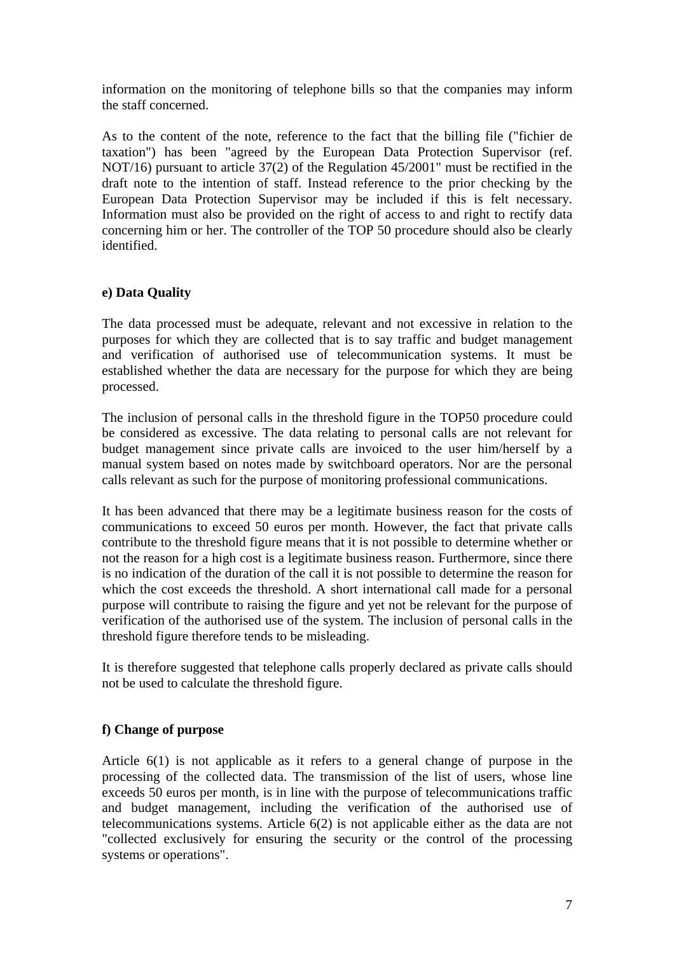information on the monitoring of telephone bills so that the companies may inform the staff concerned.

As to the content of the note, reference to the fact that the billing file ("fichier de taxation") has been "agreed by the European Data Protection Supervisor (ref. NOT/16) pursuant to article 37(2) of the Regulation 45/2001" must be rectified in the draft note to the intention of staff. Instead reference to the prior checking by the European Data Protection Supervisor may be included if this is felt necessary. Information must also be provided on the right of access to and right to rectify data concerning him or her. The controller of the TOP 50 procedure should also be clearly identified.

### **e) Data Quality**

The data processed must be adequate, relevant and not excessive in relation to the purposes for which they are collected that is to say traffic and budget management and verification of authorised use of telecommunication systems. It must be established whether the data are necessary for the purpose for which they are being processed.

The inclusion of personal calls in the threshold figure in the TOP50 procedure could be considered as excessive. The data relating to personal calls are not relevant for budget management since private calls are invoiced to the user him/herself by a manual system based on notes made by switchboard operators. Nor are the personal calls relevant as such for the purpose of monitoring professional communications.

It has been advanced that there may be a legitimate business reason for the costs of communications to exceed 50 euros per month. However, the fact that private calls contribute to the threshold figure means that it is not possible to determine whether or not the reason for a high cost is a legitimate business reason. Furthermore, since there is no indication of the duration of the call it is not possible to determine the reason for which the cost exceeds the threshold. A short international call made for a personal purpose will contribute to raising the figure and yet not be relevant for the purpose of verification of the authorised use of the system. The inclusion of personal calls in the threshold figure therefore tends to be misleading.

It is therefore suggested that telephone calls properly declared as private calls should not be used to calculate the threshold figure.

# **f) Change of purpose**

Article 6(1) is not applicable as it refers to a general change of purpose in the processing of the collected data. The transmission of the list of users, whose line exceeds 50 euros per month, is in line with the purpose of telecommunications traffic and budget management, including the verification of the authorised use of telecommunications systems. Article 6(2) is not applicable either as the data are not "collected exclusively for ensuring the security or the control of the processing systems or operations".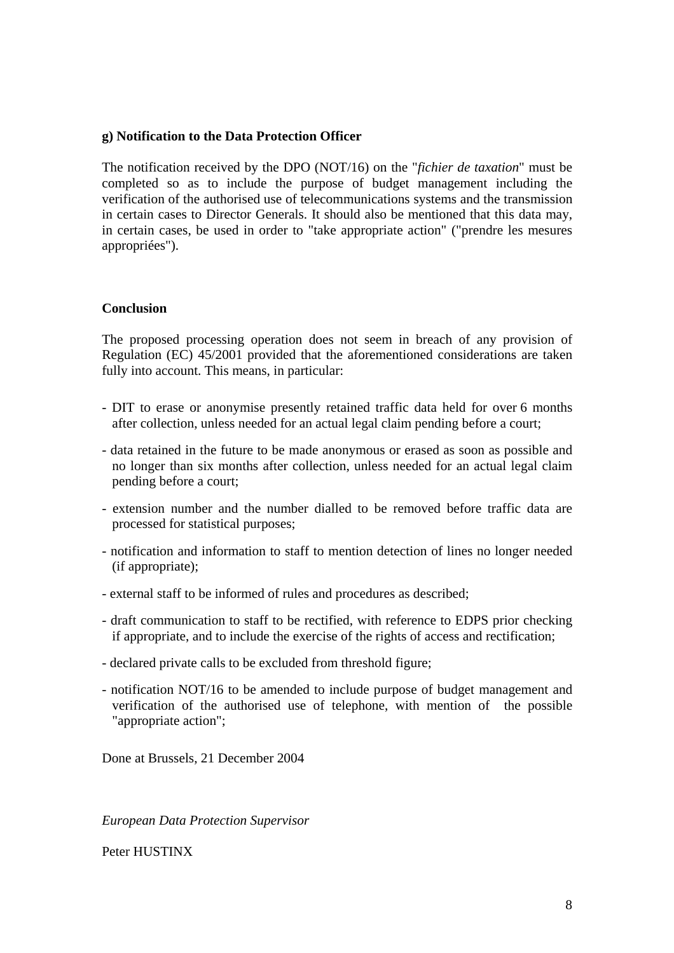#### **g) Notification to the Data Protection Officer**

The notification received by the DPO (NOT/16) on the "*fichier de taxation*" must be completed so as to include the purpose of budget management including the verification of the authorised use of telecommunications systems and the transmission in certain cases to Director Generals. It should also be mentioned that this data may, in certain cases, be used in order to "take appropriate action" ("prendre les mesures appropriées").

#### **Conclusion**

The proposed processing operation does not seem in breach of any provision of Regulation (EC) 45/2001 provided that the aforementioned considerations are taken fully into account. This means, in particular:

- DIT to erase or anonymise presently retained traffic data held for over 6 months after collection, unless needed for an actual legal claim pending before a court;
- data retained in the future to be made anonymous or erased as soon as possible and no longer than six months after collection, unless needed for an actual legal claim pending before a court;
- extension number and the number dialled to be removed before traffic data are processed for statistical purposes;
- notification and information to staff to mention detection of lines no longer needed (if appropriate);
- external staff to be informed of rules and procedures as described;
- draft communication to staff to be rectified, with reference to EDPS prior checking if appropriate, and to include the exercise of the rights of access and rectification;
- declared private calls to be excluded from threshold figure;
- notification NOT/16 to be amended to include purpose of budget management and verification of the authorised use of telephone, with mention of the possible "appropriate action";

Done at Brussels, 21 December 2004

*European Data Protection Supervisor* 

Peter HUSTINX